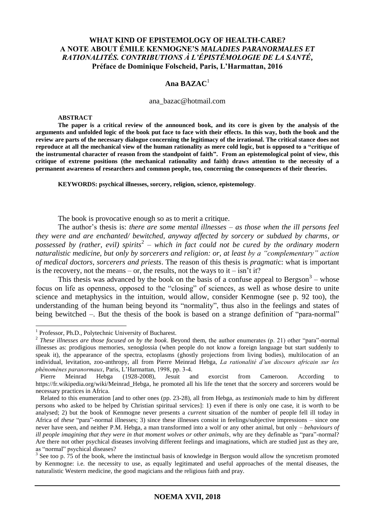## **WHAT KIND OF EPISTEMOLOGY OF HEALTH-CARE? A NOTE ABOUT ÉMILE KENMOGNE'S** *MALADIES PARANORMALES ET RATIONALITÉS. CONTRIBUTIONS À L'ÉPISTÉMOLOGIE DE LA SANTÉ***, Préface de Dominique Folscheid, Paris, L'Harmattan, 2016**

# **Ana BAZAC**<sup>1</sup>

#### ana\_bazac@hotmail.com

#### **ABSTRACT**

**The paper is a critical review of the announced book, and its core is given by the analysis of the arguments and unfolded logic of the book put face to face with their effects. In this way, both the book and the review are parts of the necessary dialogue concerning the legitimacy of the irrational. The critical stance does not reproduce at all the mechanical view of the human rationality as mere cold logic, but is opposed to a "critique of the instrumental character of reason from the standpoint of faith". From an epistemological point of view, this critique of extreme positions (the mechanical rationality and faith) draws attention to the necessity of a permanent awareness of researchers and common people, too, concerning the consequences of their theories.**

**KEYWORDS: psychical illnesses, sorcery, religion, science, epistemology**.

The book is provocative enough so as to merit a critique.

The author's thesis is: *there are some mental illnesses – as those when the ill persons feel they were and are enchanted/ bewitched, anyway affected by sorcery or subdued by charms, or possessed by (rather, evil) spirits*<sup>2</sup> *– which in fact could not be cured by the ordinary modern naturalistic medicine, but only by sorcerers and religion: or, at least by a "complementary" action of medical doctors, sorcerers and priests*. The reason of this thesis is *pragmati*c: what is important is the recovery, not the means – or, the results, not the ways to it – isn't it?

This thesis was advanced by the book on the basis of a confuse appeal to Bergson<sup>3</sup> – whose focus on life as openness, opposed to the "closing" of sciences, as well as whose desire to unite science and metaphysics in the intuition, would allow, consider Kenmogne (see p. 92 too), the understanding of the human being beyond its "normality", thus also in the feelings and states of being bewitched –. But the thesis of the book is based on a strange definition of "para-normal"

<sup>&</sup>lt;sup>1</sup> Professor, Ph.D., Polytechnic University of Bucharest.

<sup>2</sup> *These illnesses are those focused on by the book*. Beyond them, the author enumerates (p. 21) other "para"-normal illnesses as: prodigious memories, xenoglossia (when people do not know a foreign language but start suddenly to speak it), the appearance of the spectra, ectoplasms (ghostly projections from living bodies), multilocation of an individual, levitation, zoo-anthropy, all from Pierre Meinrad Hebga, *La rationalité d'un discours africain sur les phénomènes paranormaux*, Paris, L'Harmattan, 1998, pp. 3-4.

Pierre Meinrad Hebga (1928-2008), Jesuit and exorcist from Cameroon. According to https://fr.wikipedia.org/wiki/Meinrad Hebga, he promoted all his life the tenet that the sorcery and sorcerers would be necessary practices in Africa.

Related to this enumeration [and to other ones (pp. 23-28), all from Hebga, as *testimonials* made to him by different persons who asked to be helped by Christian spiritual services]: 1) even if there is only one case, it is worth to be analysed; 2) but the book of Kenmogne never presents a *current* situation of the number of people fell ill today in Africa of *these* "para"-normal illnesses; 3) since these illnesses consist in feelings/subjective impressions – since one never have seen, and neither P.M. Hebga, a man transformed into a wolf or any other animal, but only – *behaviours of ill people imagining that they were in that moment wolves or other animals*, why are they definable as "para"-normal? Are there not other psychical diseases involving different feelings and imaginations, which are studied just as they are, as "normal" psychical diseases?

 $3$  See too p. 75 of the book, where the instinctual basis of knowledge in Bergson would allow the syncretism promoted by Kenmogne: i.e. the necessity to use, as equally legitimated and useful approaches of the mental diseases, the naturalistic Western medicine, the good magicians and the religious faith and pray.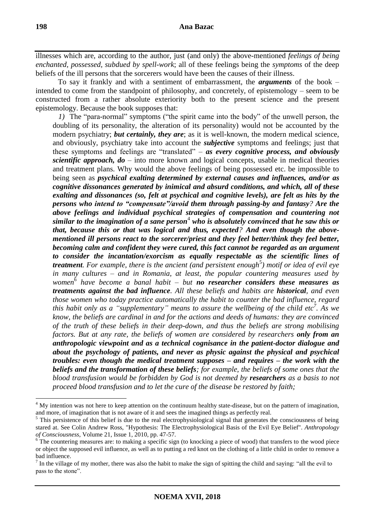illnesses which are, according to the author, just (and only) the above-mentioned *feelings of being enchanted, possessed, subdued by spell-work*; all of these feelings being the *symptoms* of the deep beliefs of the ill persons that the sorcerers would have been the causes of their illness.

To say it frankly and with a sentiment of embarrassment, the *arguments* of the book – intended to come from the standpoint of philosophy, and concretely, of epistemology – seem to be constructed from a rather absolute exteriority both to the present science and the present epistemology. Because the book supposes that:

*1)* The "para-normal" symptoms ("the spirit came into the body" of the unwell person, the doubling of its personality, the alteration of its personality) would not be accounted by the modern psychiatry; *but certainly, they are*; as it is well-known, the modern medical science, and obviously, psychiatry take into account the *subjective* symptoms and feelings; just that these symptoms and feelings are "translated" – *as every cognitive process, and obviously scientific approach, do* – into more known and logical concepts, usable in medical theories and treatment plans. Why would the above feelings of being possessed etc. be impossible to being seen as *psychical exalting determined by external causes and influences, and/or as cognitive dissonances generated by inimical and absurd conditions, and which, all of these exalting and dissonances (so, felt at psychical and cognitive levels), are felt as hits by the persons who intend to "compensate"/avoid them through passing-by and fantasy? Are the above feelings and individual psychical strategies of compensation and countering not similar to the imagination of a sane person*<sup>4</sup> *who is absolutely convinced that he saw this or that, because this or that was logical and thus, expected? And even though the abovementioned ill persons react to the sorcerer/priest and they feel better/think they feel better, becoming calm and confident they were cured, this fact cannot be regarded as an argument to consider the incantation/exorcism as equally respectable as the scientific lines of treatment. For example, there is the ancient (and persistent enough<sup>5</sup>) motif or idea of evil eye in many cultures – and in Romania, at least, the popular countering measures used by women* 6 *have become a banal habit – but no researcher considers these measures as treatments against the bad influence. All these beliefs and habits are historical, and even those women who today practice automatically the habit to counter the bad influence, regard this habit only as a "supplementary" means to assure the wellbeing of the child etc<sup>7</sup> . As we know, the beliefs are cardinal in and for the actions and deeds of humans: they are convinced of the truth of these beliefs in their deep-down, and thus the beliefs are strong mobilising factors. But at any rate, the beliefs of women are considered by researchers only from an anthropologic viewpoint and as a technical cognisance in the patient-doctor dialogue and about the psychology of patients, and never as physic against the physical and psychical troubles: even though the medical treatment supposes – and requires – the work with the beliefs and the transformation of these beliefs; for example, the beliefs of some ones that the blood transfusion would be forbidden by God is not deemed by researchers as a basis to not proceed blood transfusion and to let the cure of the disease be restored by faith;*

<sup>&</sup>lt;sup>4</sup> My intention was not here to keep attention on the continuum healthy state-disease, but on the pattern of imagination, and more, of imagination that is not aware of it and sees the imagined things as perfectly real.

 $<sup>5</sup>$  This persistence of this belief is due to the real electrophysiological signal that generates the consciousness of being</sup> stared at. See Colin Andrew Ross, "Hypothesis: The Electrophysiological Basis of the Evil Eye Belief". *Anthropology of Consciousness*, Volume 21, Issue 1, 2010, pp. 47-57.

 $\epsilon$ <sup>6</sup> The countering measures are: to making a specific sign (to knocking a piece of wood) that transfers to the wood piece or object the supposed evil influence, as well as to putting a red knot on the clothing of a little child in order to remove a bad influence.

 $<sup>7</sup>$  In the village of my mother, there was also the habit to make the sign of spitting the child and saying: "all the evil to</sup> pass to the stone".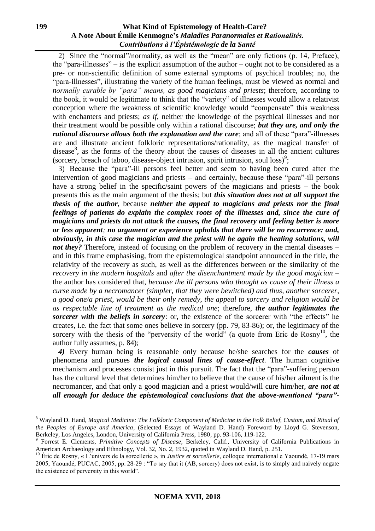2) Since the "normal"/normality, as well as the "mean" are only fictions (p. 14, Preface), the "para-illnesses" – is the explicit assumption of the author – ought not to be considered as a pre- or non-scientific definition of some external symptoms of psychical troubles; no, the "para-illnesses", illustrating the variety of the human feelings, must be viewed as normal and *normally curable by "para" means, as good magicians and priests*; therefore, according to the book, it would be legitimate to think that the "variety" of illnesses would allow a relativist conception where the weakness of scientific knowledge would "compensate" this weakness with enchanters and priests; *as if*, neither the knowledge of the psychical illnesses and nor their treatment would be possible only within a rational discourse; *but they are, and only the rational discourse allows both the explanation and the cure*; and all of these "para"-illnesses are and illustrate ancient folkloric representations/rationality, as the magical transfer of disease $8$ , as the forms of the theory about the causes of diseases in all the ancient cultures (sorcery, breach of taboo, disease-object intrusion, spirit intrusion, soul loss)<sup>9</sup>;

3) Because the "para"-ill persons feel better and seem to having been cured after the intervention of good magicians and priests – and certainly, because these "para"-ill persons have a strong belief in the specific/saint powers of the magicians and priests – the book presents this as the main argument of the thesis; but *this situation does not at all support the thesis of the author*, because *neither the appeal to magicians and priests nor the final feelings of patients do explain the complex roots of the illnesses and, since the cure of magicians and priests do not attack the causes, the final recovery and feeling better is more or less apparent; no argument or experience upholds that there will be no recurrence: and, obviously, in this case the magician and the priest will be again the healing solutions, will not they?* Therefore, instead of focusing on the problem of recovery in the mental diseases – and in this frame emphasising, from the epistemological standpoint announced in the title, the relativity of the recovery as such, as well as the differences between or the similarity of the *recovery in the modern hospitals* and *after the disenchantment made by the good magician* – the author has considered that, *because the ill persons who thought as cause of their illness a curse made by a necromancer (simpler, that they were bewitched) and thus, another sorcerer, a good one/a priest, would be their only remedy*, *the appeal to sorcery and religion would be as respectable line of treatment as the medical one*; therefore, *the author legitimates the sorcerer with the beliefs in sorcery*: or, the existence of the sorcerer with "the effects" he creates, i.e. the fact that some ones believe in sorcery (pp. 79, 83-86); or, the legitimacy of the sorcery with the thesis of the "perversity of the world" (a quote from Eric de Rosny<sup>10</sup>, the author fully assumes, p. 84);

*4)* Every human being is reasonable only because he/she searches for the *causes* of phenomena and pursues *the logical causal lines of cause-effect*. The human cognitive mechanism and processes consist just in this pursuit. The fact that the "para"-suffering person has the cultural level that determines him/her to believe that the cause of his/her ailment is the necromancer, and that only a good magician and a priest would/will cure him/her, *are not at all enough for deduce the epistemological conclusions that the above-mentioned "para"-*

<sup>8</sup> Wayland D. Hand, *Magical Medicine: The Folkloric Component of Medicine in the Folk Belief, Custom, and Ritual of the Peoples of Europe and America*, (Selected Essays of Wayland D. Hand) Foreword by Lloyd G. Stevenson, Berkeley, Los Angeles, London, University of California Press, 1980, pp. 93-106, 119-122.

<sup>9</sup> Forrest E. Clements, *Primitive Concepts of Disease*, Berkeley, Calif., University of California Publications in American Archaeology and Ethnology, Vol. 32, No. 2, 1932, quoted in Wayland D. Hand, p. 251.

<sup>&</sup>lt;sup>10</sup> Éric de Rosny, « L'univers de la sorcellerie », in *Justice et sorcellerie*, colloque international e Yaoundé, 17-19 mars 2005, Yaoundé, PUCAC, 2005, pp. 28-29 : "To say that it (AB, sorcery) does not exist, is to simply and naively negate the existence of perversity in this world".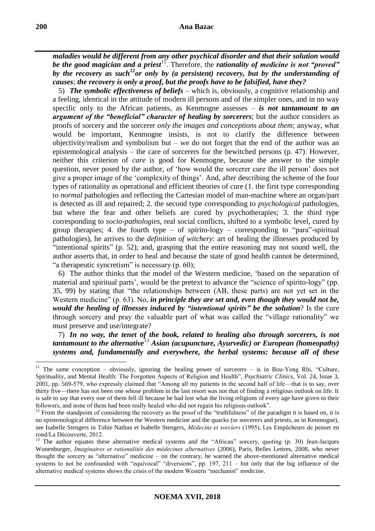*maladies would be different from any other psychical disorder and that their solution would*  be the good magician and a priest<sup>11</sup>. Therefore, the *rationality of medicine is not "proved" by the recovery as such<sup>12</sup>or only by (a persistent) recovery, but by the understanding of causes*; *the recovery is only a proof, but the proofs have to be falsified, have they?*

5) *The symbolic effectiveness of beliefs* – which is, obviously, a cognitive relationship and a feeling, identical in the attitude of modern ill persons and of the simpler ones, and in no way specific only to the African patients, as Kenmogne assesses – *is not tantamount to an argument of the "beneficial" character of healing by sorcerers*; but the author considers as proofs of sorcery and the sorcerer *only the images and conceptions about them*; anyway, what would be important, Kenmogne insists, is not to clarify the difference between objectivity/realism and symbolism but – we do not forget that the end of the author was an epistemological analysis – the care of sorcerers for the bewitched persons (p. 47). However, neither this criterion of *care* is good for Kenmogne, because the answer to the simple question, never posed by the author, of 'how would the sorcerer cure the ill person' does not give a proper image of the 'complexity of things'. And, after describing the scheme of the four types of rationality as operational and efficient theories of cure (1. the first type corresponding to *normal* pathologies and reflecting the Cartesian model of man-machine where an organ/part is detected as ill and repaired; 2. the second type corresponding to *psychological* pathologies, but where the fear and other beliefs are cured by psychotherapies; 3. the third type corresponding to *socio-pathologies*, real social conflicts, shifted to a symbolic level, cured by group therapies; 4. the fourth type – of spirito-logy – corresponding to "para"-spiritual pathologies), he arrives to the *definition of witchery*: art of healing the illnesses produced by "intentional spirits" (p. 52); and, grasping that the entire reasoning may not sound well, the author asserts that, in order to heal and because the state of good health cannot be determined, "a therapeutic syncretism" is necessary  $(p. 60)$ ;

6) The author thinks that the model of the Western medicine, 'based on the separation of material and spiritual parts', would be the pretext to advance the "science of spirito-logy" (pp. 35, 99) by stating that "the relationships between (AB, these parts) are not yet set in the Western medicine" (p. 63). No, *in principle they are set and, even though they would not be, would the healing of illnesses induced by "intentional spirits" be the solution*? Is the cure through sorcery and pray the valuable part of what was called the "village rationality" we must preserve and use/integrate?

7) *In no way, the tenet of the book, related to healing also through sorcerers, is not tantamount to the alternative*<sup>13</sup> *Asian (acupuncture, Ayurvedic) or European (homeopathy) systems and, fundamentally and everywhere, the herbal systems: because all of these* 

<u>.</u>

<sup>&</sup>lt;sup>11</sup> The same conception – obviously, ignoring the healing power of sorcerers – is in Bou-Yong Rhi, "Culture, Spirituality, and Mental Health: The Forgotten Aspects of Religion and Health", *Psychiatric Clinics*, Vol. 24, Issue 3, 2001, pp. 569-579, who expressly claimed that "Among all my patients in the second half of life—that is to say, over thirty five—there has not been one whose problem in the last resort was not that of finding a religious outlook on life. It is safe to say that every one of them fell ill because he had lost what the living religions of every age have given to their followers, and none of them had been really healed who did not regain his religious outlook".

 $12$  From the standpoint of considering the recovery as the proof of the "truthfulness" of the paradigm it is based on, it is no epistemological difference between the Western medicine and the quacks (or sorcerers and priests, as in Kenmogne), see Isabelle Stengers in Tobie Nathan et Isabelle Stengers, *Médecins et sorciers* (1995), Les Empêcheurs de penser en rond/La Découverte, 2012.

 $13$  The author equates these alternative medical systems and the "African" sorcery, quoting (p. 30) Jean-Jacques Wunenburger, *Imaginaires et rationalités des médecines alternatives* (2006), Paris, Belles Lettres, 2008, who never thought the sorcery as "alternative" medicine – on the contrary, he warned the above-mentioned alternative medical systems to not be confounded with "equivocal" "diversions", pp. 197, 211 – but only that the big influence of the alternative medical systems shows the crisis of the modern Western "mechanist" medicine.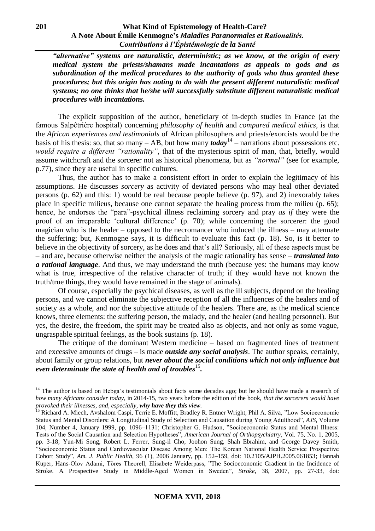*"alternative" systems are naturalistic, deterministic; as we know, at the origin of every medical system the priests/shamans made incantations as appeals to gods and as subordination of the medical procedures to the authority of gods who thus granted these procedures; but this origin has noting to do with the present different naturalistic medical systems; no one thinks that he/she will successfully substitute different naturalistic medical procedures with incantations.*

The explicit supposition of the author, beneficiary of in-depth studies in France (at the famous Salpêtrière hospital) concerning *philosophy of health* and *compared medical ethics*, is that the *African experiences and testimonials* of African philosophers and priests/exorcists would be the basis of his thesis: so, that so many – AB, but how many  $\omega$ *today*<sup>14</sup> – narrations about possessions etc. *would require a different "rationality"*, that of the mysterious spirit of man, that, briefly, would assume witchcraft and the sorcerer not as historical phenomena, but as *"normal"* (see for example, p.77), since they are useful in specific cultures.

Thus, the author has to make a consistent effort in order to explain the legitimacy of his assumptions. He discusses *sorcery* as activity of deviated persons who may heal other deviated persons (p. 62) and this: 1) would be real because people believe (p. 97), and 2) inexorably takes place in specific milieus, because one cannot separate the healing process from the milieu (p. 65); hence, he endorses the "para"-psychical illness reclaiming sorcery and pray *as if* they were the proof of an irreparable 'cultural difference' (p. 70); while concerning the sorcerer: the good magician who is the healer – opposed to the necromancer who induced the illness – may attenuate the suffering; but, Kenmogne says, it is difficult to evaluate this fact (p. 18). So, is it better to believe in the objectivity of sorcery, as he does and that's all? Seriously, all of these aspects must be – and are, because otherwise neither the analysis of the magic rationality has sense – *translated into a rational language*. And thus, we may understand the truth (because yes: the humans may know what is true, irrespective of the relative character of truth; if they would have not known the truth/true things, they would have remained in the stage of animals).

Of course, especially the psychical diseases, as well as the ill subjects, depend on the healing persons, and we cannot eliminate the subjective reception of all the influences of the healers and of society as a whole, and nor the subjective attitude of the healers. There are, as the medical science knows, three elements: the suffering person, the malady, and the healer (and healing personnel). But yes, the desire, the freedom, the spirit may be treated also as objects, and not only as some vague, ungraspable spiritual feelings, as the book sustains (p. 18).

The critique of the dominant Western medicine – based on fragmented lines of treatment and excessive amounts of drugs – is made *outside any social analysis*. The author speaks, certainly, about family or group relations, but *never about the social conditions which not only influence but*  even determinate the state of health and of troubles<sup>15</sup>.

<u>.</u>

<sup>&</sup>lt;sup>14</sup> The author is based on Hebga's testimonials about facts some decades ago; but he should have made a research of *how many Africans consider today*, in 2014-15, two years before the edition of the book, *that the sorcerers would have provoked their illnesses, and, especially, why have they this view.* 

<sup>&</sup>lt;sup>15</sup> Richard A. Miech, Avshalom Caspi, Terrie E. Moffitt, Bradley R. Entner Wright, Phil A. Silva, "Low Socioeconomic Status and Mental Disorders: A Longitudinal Study of Selection and Causation during Young Adulthood", *AJS*, Volume 104, Number 4, January 1999, pp. 1096–1131; Christopher G. Hudson, "Socioeconomic Status and Mental Illness: Tests of the Social Causation and Selection Hypotheses", *American Journal of Orthopsychiatry*, Vol. 75, No. 1, 2005, pp. 3-18; Yun-Mi Song, Robert L. Ferrer, Sung-il Cho, Joohon Sung, Shah Ebrahim, and George Davey Smith, "Socioeconomic Status and Cardiovascular Disease Among Men: The Korean National Health Service Prospective Cohort Study", *Am. J. Public Health*, 96 (1), 2006 January, pp. 152–159, doi: 10.2105/AJPH.2005.061853; Hannah Kuper, Hans-Olov Adami, Töres Theorell, Elisabete Weiderpass, "The Socioeconomic Gradient in the Incidence of Stroke. A Prospective Study in Middle-Aged Women in Sweden", *Stroke*, 38, 2007, pp. 27-33, doi: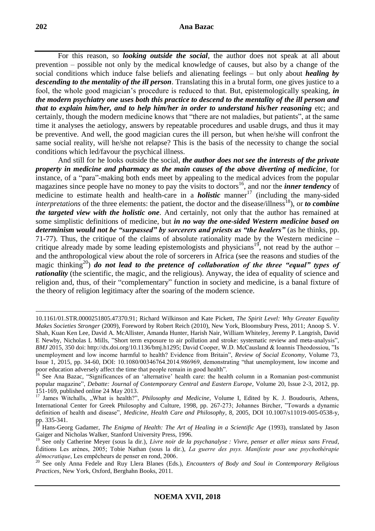For this reason, so *looking outside the social*, the author does not speak at all about prevention – possible not only by the medical knowledge of causes, but also by a change of the social conditions which induce false beliefs and alienating feelings – but only about *healing by descending to the mentality of the ill person*. Translating this in a brutal form, one gives justice to a fool, the whole good magician's procedure is reduced to that. But, epistemologically speaking, *in the modern psychiatry one uses both this practice to descend to the mentality of the ill person and that to explain him/her, and to help him/her in order to understand his/her reasoning* etc; and certainly, though the modern medicine knows that "there are not maladies, but patients", at the same time it analyses the aetiology, answers by repeatable procedures and usable drugs, and thus it may be preventive. And well, the good magician cures the ill person, but when he/she will confront the same social reality, will he/she not relapse? This is the basis of the necessity to change the social conditions which led/favour the psychical illness.

And still for he looks outside the social, *the author does not see the interests of the private property in medicine and pharmacy as the main causes of the above diverting of medicine*, for instance, of a "para"-making both ends meet by appealing to the medical advices from the popular magazines since people have no money to pay the visits to doctors<sup>16</sup>, and nor the *inner tendency* of medicine to estimate health and health-care in a *holistic* manner<sup>17</sup> (including the many-sided *interpretations* of the three elements: the patient, the doctor and the disease/illness<sup>18</sup>), or *to combine the targeted view with the holistic one*. And certainly, not only that the author has remained at some simplistic definitions of medicine, but *in no way the one-sided Western medicine based on determinism would not be "surpassed" by sorcerers and priests as "the healers"* (as he thinks, pp. 71-77). Thus, the critique of the claims of absolute rationality made by the Western medicine – critique already made by some leading epistemologists and physicians<sup>19</sup>, not read by the author – and the anthropological view about the role of sorcerers in Africa (see the reasons and studies of the magic thinking<sup>20</sup>) *do not lead to the pretence of collaboration of the three "equal" types of rationality* (the scientific, the magic, and the religious). Anyway, the idea of equality of science and religion and, thus, of their "complementary" function in society and medicine, is a banal fixture of the theory of religion legitimacy after the soaring of the modern science.

<u>.</u>

<sup>10.1161/01.</sup>STR.0000251805.47370.91; Richard Wilkinson and Kate Pickett, *The Spirit Level: Why Greater Equality Makes Societies Stronger* (2009), Foreword by Robert Reich (2010), New York, Bloomsbury Press, 2011; Anoop S. V. Shah, Kuan Ken Lee, David A. McAllister, Amanda Hunter, Harish Nair, William Whiteley, Jeremy P. Langrish, David E Newby, Nicholas L Mills, "Short term exposure to air pollution and stroke: systematic review and meta-analysis", *BMJ* 2015*,* 350 doi: http://dx.doi.org/10.1136/bmj.h1295; David Cooper, W.D. McCausland & Ioannis Theodossiou, "Is unemployment and low income harmful to health? Evidence from Britain", *Review of Social Economy*, Volume 73, Issue 1, 2015, pp. 34-60, DOI: 10.1080/00346764.2014.986969, demonstrating "that unemployment, low income and poor education adversely affect the time that people remain in good health".

<sup>&</sup>lt;sup>16</sup> See Ana Bazac, "Significances of an 'alternative' health care: the health column in a Romanian post-communist popular magazine", *Debatte: Journal of Contemporary Central and Eastern Europe*, Volume 20, Issue 2-3, 2012, pp. 151-169, published online 24 May 2013.

<sup>&</sup>lt;sup>17</sup> James Witchalls, "What is health?", *Philosophy and Medicine*, Volume I, Edited by K. J. Boudouris, Athens, International Center for Greek Philosophy and Culture, 1998, pp. 267-273; Johannes Bircher, "Towards a dynamic definition of health and disease", *Medicine, Health Care and Philosophy*, 8, 2005, DOI 10.1007/s11019-005-0538-y, pp. 335-341.

<sup>18</sup> Hans-Georg Gadamer, *The Enigma of Health: The Art of Healing in a Scientific Age* (1993), translated by Jason Gaiger and Nicholas Walker, Stanford University Press, 1996.

<sup>19</sup> See only Catherine Meyer (sous la dir.), *Livre noir de la psychanalyse : Vivre, penser et aller mieux sans Freud*, Éditions Les arènes, 2005; Tobie Nathan (sous la dir.), *La guerre des psys. Manifeste pour une psychothérapie démocratique*, Les empêcheurs de penser en rond, 2006.

<sup>20</sup> See only Anna Fedele and Ruy Llera Blanes (Eds.), *Encounters of Body and Soul in Contemporary Religious Practices,* New York, Oxford, Berghahn Books, 2011.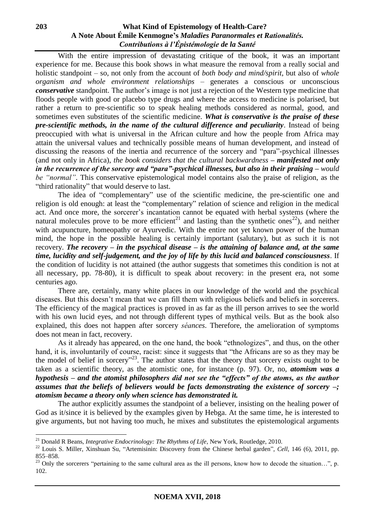With the entire impression of devastating critique of the book, it was an important experience for me. Because this book shows in what measure the removal from a really social and holistic standpoint – so, not only from the account of *both body and mind/spirit*, but also of *whole organism and whole environment relationships* – generates a conscious or unconscious *conservative* standpoint. The author's image is not just a rejection of the Western type medicine that floods people with good or placebo type drugs and where the access to medicine is polarised, but rather a return to pre-scientific so to speak healing methods considered as normal, good, and sometimes even substitutes of the scientific medicine. *What is conservative is the praise of these pre-scientific methods, in the name of the cultural difference and peculiarity*. Instead of being preoccupied with what is universal in the African culture and how the people from Africa may attain the universal values and technically possible means of human development, and instead of discussing the reasons of the inertia and recurrence of the sorcery and "para"-psychical illnesses (and not only in Africa), *the book considers that the cultural backwardness – manifested not only in the recurrence of the sorcery and "para"-psychical illnesses, but also in their praising – would be "normal"*. This conservative epistemological model contains also the praise of religion, as the "third rationality" that would deserve to last.

The idea of "complementary" use of the scientific medicine, the pre-scientific one and religion is old enough: at least the "complementary" relation of science and religion in the medical act. And once more, the sorcerer's incantation cannot be equated with herbal systems (where the natural molecules prove to be more efficient<sup>21</sup> and lasting than the synthetic ones<sup>22</sup>), and neither with acupuncture, homeopathy or Ayurvedic. With the entire not yet known power of the human mind, the hope in the possible healing is certainly important (salutary), but as such it is not recovery. *The recovery – in the psychical disease – is the attaining of balance and, at the same time, lucidity and self-judgement, and the joy of life by this lucid and balanced consciousness*. If the condition of lucidity is not attained (the author suggests that sometimes this condition is not at all necessary, pp. 78-80), it is difficult to speak about recovery: in the present era, not some centuries ago.

There are, certainly, many white places in our knowledge of the world and the psychical diseases. But this doesn't mean that we can fill them with religious beliefs and beliefs in sorcerers. The efficiency of the magical practices is proved in as far as the ill person arrives to see the world with his own lucid eyes, and not through different types of mythical veils. But as the book also explained, this does not happen after sorcery *séances*. Therefore, the amelioration of symptoms does not mean in fact, recovery.

As it already has appeared, on the one hand, the book "ethnologizes", and thus, on the other hand, it is, involuntarily of course, racist: since it suggests that "the Africans are so as they may be the model of belief in sorcery"<sup>23</sup>. The author states that the theory that sorcery exists ought to be taken as a scientific theory, as the atomistic one, for instance (p. 97). Or, no, *atomism was a hypothesis – and the atomist philosophers did not see the "effects" of the atoms, as the author assumes that the beliefs of believers would be facts demonstrating the existence of sorcery –; atomism became a theory only when science has demonstrated it.*

The author explicitly assumes the standpoint of a believer, insisting on the healing power of God as it/since it is believed by the examples given by Hebga. At the same time, he is interested to give arguments, but not having too much, he mixes and substitutes the epistemological arguments

<sup>&</sup>lt;sup>21</sup> Donald R Beans, *Integrative Endocrinology: The Rhythms of Life*, New York, Routledge, 2010.

<sup>&</sup>lt;sup>22</sup> Louis S. Miller, Xinshuan Su, "Artemisinin: Discovery from the Chinese herbal garden", *Cell*, 146 (6), 2011, pp. 855–858.

 $^{23}$  Only the sorcerers "pertaining to the same cultural area as the ill persons, know how to decode the situation...", p. 102.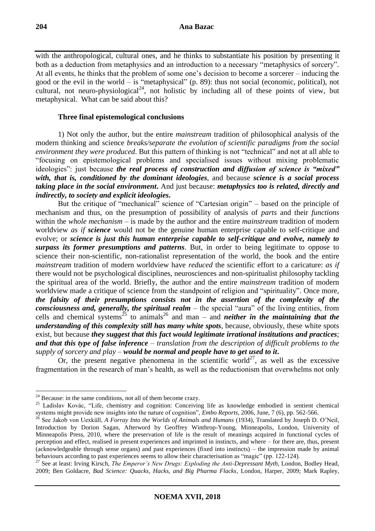with the anthropological, cultural ones, and he thinks to substantiate his position by presenting it both as a deduction from metaphysics and an introduction to a necessary "metaphysics of sorcery". At all events, he thinks that the problem of some one's decision to become a sorcerer – inducing the good or the evil in the world – is "metaphysical" (p. 89): thus not social (economic, political), not cultural, not neuro-physiological<sup>24</sup>, not holistic by including all of these points of view, but metaphysical. What can be said about this?

## **Three final epistemological conclusions**

1) Not only the author, but the entire *mainstream* tradition of philosophical analysis of the modern thinking and science *breaks/separate the evolution of scientific paradigms from the social environment they were produced*. But this pattern of thinking is not "technical" and not at all able to "focusing on epistemological problems and specialised issues without mixing problematic ideologies": just because *the real process of construction and diffusion of science is "mixed" with, that is, conditioned by the dominant ideologies*, and because *science is a social process taking place in the social environment***.** And just because: *metaphysics too is related, directly and indirectly, to society and explicit ideologies***.**

But the critique of "mechanical" science of "Cartesian origin" – based on the principle of mechanism and thus, on the presumption of possibility of analysis of *parts* and their *functions* within the *whole mechanism* – is made by the author and the entire *mainstream* tradition of modern worldview *as if science* would not be the genuine human enterprise capable to self-critique and evolve; or *science is just this human enterprise capable to self-critique and evolve, namely to surpass its former presumptions and patterns*. But, in order to being legitimate to oppose to science their non-scientific, non-rationalist representation of the world, the book and the entire *mainstream* tradition of modern worldview have *reduced* the scientific effort to a caricature: *as if* there would not be psychological disciplines, neurosciences and non-spiritualist philosophy tackling the spiritual area of the world. Briefly, the author and the entire *mainstream* tradition of modern worldview made a critique of science from the standpoint of religion and "spirituality". Once more, *the falsity of their presumptions consists not in the assertion of the complexity of the consciousness and, generally, the spiritual realm* – the special "aura" of the living entities, from cells and chemical systems<sup>25</sup> to animals<sup>26</sup> and man – and *neither in the maintaining that the understanding of this complexity still has many white spots*, because, obviously, these white spots exist, but because *they suggest that this fact would legitimate irrational institutions and practices*; *and that this type of false inference – translation from the description of difficult problems to the supply of sorcery and play – would be normal and people have to get used to it***.**

Or, the present negative phenomena in the scientific world<sup>27</sup>, as well as the excessive fragmentation in the research of man's health, as well as the reductionism that overwhelms not only

 $24$  Because: in the same conditions, not all of them become crazy.

<sup>&</sup>lt;sup>25</sup> Ladislav Kovác, "Life, chemistry and cognition: Conceiving life as knowledge embodied in sentient chemical systems might provide new insights into the nature of cognition", *Embo Reports*, 2006, June, 7 (6), pp. 562-566.

<sup>&</sup>lt;sup>26</sup> See Jakob von Uexküll, *A Forray Into the Worlds of Animals and Humans* (1934), Translated by Joseph D. O'Neil, Introduction by Dorion Sagan, Afterword by Geoffrey Winthrop-Young, Minneapolis, London, University of Minneapolis Press, 2010, where the preservation of life is the result of meanings acquired in functional cycles of perception and effect, realised in present experiences and imprinted in instincts, and where – for there are, thus, present (acknowledgeable through sense organs) and past experiences (fixed into instincts) – the impression made by animal behaviours according to past experiences seems to allow their characterisation as "magic" (pp. 122-124).

<sup>27</sup> See at least: Irving Kirsch, *The Emperor's New Drugs: Exploding the Anti-Depressant Myth*, London, Bodley Head, 2009; Ben Goldacre, *Bad Science: Quacks, Hacks, and Big Pharma Flacks*, London, Harper, 2009; Mark Rapley,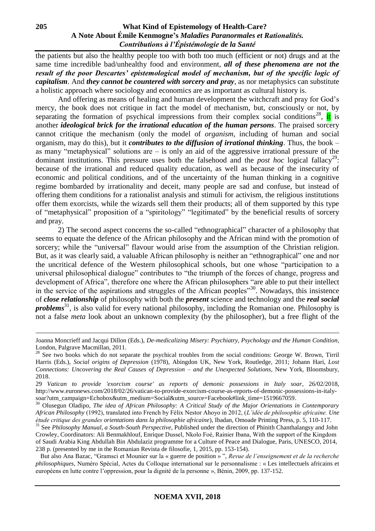the patients but also the healthy people too with both too much (efficient or not) drugs and at the same time incredible bad/unhealthy food and environment, *all of these phenomena are not the result of the poor Descartes' epistemological model of mechanism, but of the specific logic of capitalism*. And *they cannot be countered with sorcery and pray*, as nor metaphysics can substitute a holistic approach where sociology and economics are as important as cultural history is.

And offering as means of healing and human development the witchcraft and pray for God's mercy, the book does not critique in fact the model of mechanism, but, consciously or not, by separating the formation of psychical impressions from their complex social conditions<sup>28</sup>, it is another *ideological brick for the irrational education of the human persons*. The praised sorcery cannot critique the mechanism (only the model of *organism*, including of human and social organism, may do this), but it *contributes to the diffusion of irrational thinking*. Thus, the book – as many "metaphysical" solutions are  $-$  is only an aid of the aggressive irrational pressure of the dominant institutions. This pressure uses both the falsehood and the *post hoc* logical fallacy<sup>29</sup>: because of the irrational and reduced quality education, as well as because of the insecurity of economic and political conditions, and of the uncertainty of the human thinking in a cognitive regime bombarded by irrationality and deceit, many people are sad and confuse, but instead of offering them conditions for a rationalist analysis and stimuli for activism, the religious institutions offer them exorcists, while the wizards sell them their products; all of them supported by this type of "metaphysical" proposition of a "spiritology" "legitimated" by the beneficial results of sorcery and pray.

2) The second aspect concerns the so-called "ethnographical" character of a philosophy that seems to equate the defence of the African philosophy and the African mind with the promotion of sorcery; while the "universal" flavour would arise from the assumption of the Christian religion. But, as it was clearly said, a valuable African philosophy is neither an "ethnographical" one and nor the uncritical defence of the Western philosophical schools, but one whose "participation to a universal philosophical dialogue" contributes to "the triumph of the forces of change, progress and development of Africa", therefore one where the African philosophers "are able to put their intellect in the service of the aspirations and struggles of the African peoples"<sup>30</sup>. Nowadays, this insistence of *close relationship* of philosophy with both the *present* science and technology and the *real social problems*<sup>31</sup>, is also valid for every national philosophy, including the Romanian one. Philosophy is not a false *meta* look about an unknown complexity (by the philosopher), but a free flight of the

 But also Ana Bazac, "Gramsci et Mounier sur la « guerre de position » ", *Revue de l'enseignement et de la recherche philosophiques*, Numéro Spécial, Actes du Colloque international sur le personnalisme : « Les intellectuels africains et européens en lutte contre l'oppression, pour la dignité de la personne », Bénin, 2009, pp. 137-152.

Joanna Moncrieff and Jacqui Dillon (Eds.), *De-medicalizing Misery: Psychiatry, Psychology and the Human Condition*, London, Palgrave Macmillan, 2011.

<sup>&</sup>lt;sup>28</sup> See two books which do not separate the psychical troubles from the social conditions: George W. Brown, Tirril Harris (Eds.), *Social origins of Depression* (1978), Abingdon UK, New York, Routledge, 2011; Johann Hari, *Lost Connections: Uncovering the Real Causes of Depression – and the Unexpected Solutions*, New York, Bloomsbury, 2018.

<sup>29</sup> *Vatican to provide 'exorcism course' as reports of demonic possessions in Italy soar*, 26/02/2018, [http://www.euronews.com/2018/02/26/vatican-to-provide-exorcism-course-as-reports-of-demonic-possessions-in-italy](http://www.euronews.com/2018/02/26/vatican-to-provide-exorcism-course-as-reports-of-demonic-possessions-in-italy-soar?utm_campaign=Echobox&utm_medium=Social&utm_source=Facebook#link_time=1519667059)[soar?utm\\_campaign=Echobox&utm\\_medium=Social&utm\\_source=Facebook#link\\_time=1519667059.](http://www.euronews.com/2018/02/26/vatican-to-provide-exorcism-course-as-reports-of-demonic-possessions-in-italy-soar?utm_campaign=Echobox&utm_medium=Social&utm_source=Facebook#link_time=1519667059)

<sup>30</sup> Olusegun Oladipo, *The idea of African Philosophy: A Critical Study of the Major Orientations in Contemporary African Philosophy* (1992), translated into French by Félix Nestor Ahoyo in 2012, (*L'idée de philosophie africaine. Une étude critique des grandes orientations dans la philosophie africaine*), Ibadan, Omoade Printing Press, p. 5, 110-117.

<sup>&</sup>lt;sup>31</sup> See *Philosophy Manual, a South-South Perspective*, Published under the direction of Phinith Chanthalangsy and John Crowley, Coordinators: Ali Benmakhlouf, Enrique Dussel, Nkolo Foé, Rainier Ibana, With the support of the Kingdom of Saudi Arabia King Abdullah Bin Abdulaziz programme for a Culture of Peace and Dialogue, Paris, UNESCO, 2014, 238 p. (presented by me in the Romanian Revista de filosofie, 1, 2015, pp. 153-154).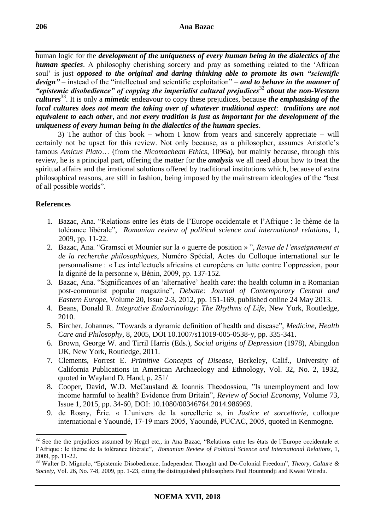human logic for the *development of the uniqueness of every human being in the dialectics of the human species*. A philosophy cherishing sorcery and pray as something related to the 'African soul' is just *opposed to the original and daring thinking able to promote its own "scientific design"* – instead of the "intellectual and scientific exploitation" – *and to behave in the manner of "epistemic disobedience" of copying the imperialist cultural prejudices*<sup>32</sup> *about the non-Western*  cultures<sup>33</sup>. It is only a *mimetic* endeavour to copy these prejudices, because *the emphasising of the local cultures does not mean the taking over of whatever traditional aspect*: *traditions are not equivalent to each other*, and *not every tradition is just as important for the development of the uniqueness of every human being in the dialectics of the human species*.

3) The author of this book – whom I know from years and sincerely appreciate – will certainly not be upset for this review. Not only because, as a philosopher, assumes Aristotle's famous *Amicus Plato*… (from the *Nicomachean Ethics*, 1096a), but mainly because, through this review, he is a principal part, offering the matter for the *analysis* we all need about how to treat the spiritual affairs and the irrational solutions offered by traditional institutions which, because of extra philosophical reasons, are still in fashion, being imposed by the mainstream ideologies of the "best of all possible worlds".

# **References**

- 1. Bazac, Ana. "Relations entre les états de l'Europe occidentale et l'Afrique : le thème de la tolérance libérale", *Romanian review of political science and international relations*, 1, 2009, pp. 11-22.
- 2. Bazac, Ana. "Gramsci et Mounier sur la « guerre de position » ", *Revue de l'enseignement et de la recherche philosophiques*, Numéro Spécial, Actes du Colloque international sur le personnalisme : « Les intellectuels africains et européens en lutte contre l'oppression, pour la dignité de la personne », Bénin, 2009, pp. 137-152.
- 3. Bazac, Ana. "Significances of an 'alternative' health care: the health column in a Romanian post-communist popular magazine", *Debatte: Journal of Contemporary Central and Eastern Europe*, Volume 20, Issue 2-3, 2012, pp. 151-169, published online 24 May 2013.
- 4. Beans, Donald R. *Integrative Endocrinology: The Rhythms of Life*, New York, Routledge, 2010.
- 5. Bircher, Johannes. "Towards a dynamic definition of health and disease", *Medicine, Health Care and Philosophy*, 8, 2005, DOI 10.1007/s11019-005-0538-y, pp. 335-341.
- 6. Brown, George W. and Tirril Harris (Eds.), *Social origins of Depression* (1978), Abingdon UK, New York, Routledge, 2011.
- 7. Clements, Forrest E. *Primitive Concepts of Disease*, Berkeley, Calif., University of California Publications in American Archaeology and Ethnology, Vol. 32, No. 2, 1932, quoted in Wayland D. Hand, p. 251/
- 8. Cooper, David, W.D. McCausland & Ioannis Theodossiou, "Is unemployment and low income harmful to health? Evidence from Britain", *Review of Social Economy*, Volume 73, Issue 1, 2015, pp. 34-60, DOI: 10.1080/00346764.2014.986969.
- 9. de Rosny, Éric. « L'univers de la sorcellerie », in *Justice et sorcellerie*, colloque international e Yaoundé, 17-19 mars 2005, Yaoundé, PUCAC, 2005, quoted in Kenmogne.

<sup>1</sup> <sup>32</sup> See the the prejudices assumed by Hegel etc., in Ana Bazac, "Relations entre les états de l'Europe occidentale et l'Afrique : le thème de la tolérance libérale", *Romanian Review of Political Science and International Relations*, 1, 2009, pp. 11-22.

<sup>33</sup> Walter D. Mignolo, "Epistemic Disobedience, Independent Thought and De-Colonial Freedom", *Theory, Culture & Society*, Vol. 26, No. 7-8, 2009, pp. 1-23, citing the distinguished philosophers Paul Hountondji and Kwasi Wiredu.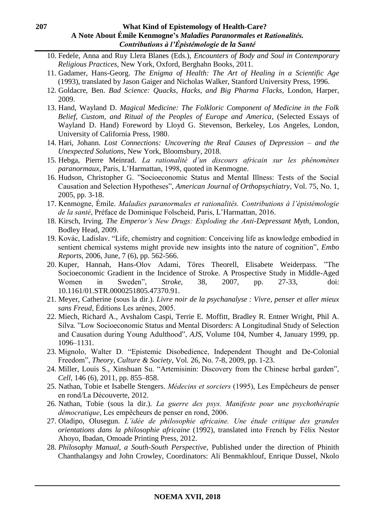- 10. Fedele, Anna and Ruy Llera Blanes (Eds.), *Encounters of Body and Soul in Contemporary Religious Practices,* New York, Oxford, Berghahn Books, 2011.
- 11. Gadamer, Hans-Georg. *The Enigma of Health: The Art of Healing in a Scientific Age* (1993), translated by Jason Gaiger and Nicholas Walker, Stanford University Press, 1996.
- 12. Goldacre, Ben. *Bad Science: Quacks, Hacks, and Big Pharma Flacks*, London, Harper, 2009.
- 13. Hand, Wayland D. *Magical Medicine: The Folkloric Component of Medicine in the Folk Belief, Custom, and Ritual of the Peoples of Europe and America*, (Selected Essays of Wayland D. Hand) Foreword by Lloyd G. Stevenson, Berkeley, Los Angeles, London, University of California Press, 1980.
- 14. Hari, Johann. *Lost Connections: Uncovering the Real Causes of Depression – and the Unexpected Solutions*, New York, Bloomsbury, 2018.
- 15. Hebga, Pierre Meinrad. *La rationalité d'un discours africain sur les phénomènes paranormaux*, Paris, L'Harmattan, 1998, quoted in Kenmogne.
- 16. Hudson, Christopher G. "Socioeconomic Status and Mental Illness: Tests of the Social Causation and Selection Hypotheses", *American Journal of Orthopsychiatry*, Vol. 75, No. 1, 2005, pp. 3-18.
- 17. Kenmogne, Émile. *Maladies paranormales et rationalités. Contributions à l'épistémologie de la santé*, Préface de Dominique Folscheid, Paris, L'Harmattan, 2016.
- 18. Kirsch, Irving. *The Emperor's New Drugs: Exploding the Anti-Depressant Myth*, London, Bodley Head, 2009.
- 19. Kovác, Ladislav. "Life, chemistry and cognition: Conceiving life as knowledge embodied in sentient chemical systems might provide new insights into the nature of cognition", *Embo Reports*, 2006, June, 7 (6), pp. 562-566.
- 20. Kuper, Hannah, Hans-Olov Adami, Töres Theorell, Elisabete Weiderpass. "The Socioeconomic Gradient in the Incidence of Stroke. A Prospective Study in Middle-Aged Women in Sweden", *Stroke*, 38, 2007, pp. 27-33, doi: 10.1161/01.STR.0000251805.47370.91.
- 21. Meyer, Catherine (sous la dir.). *Livre noir de la psychanalyse : Vivre, penser et aller mieux sans Freud*, Éditions Les arènes, 2005.
- 22. Miech, Richard A., Avshalom Caspi, Terrie E. Moffitt, Bradley R. Entner Wright, Phil A. Silva. "Low Socioeconomic Status and Mental Disorders: A Longitudinal Study of Selection and Causation during Young Adulthood", *AJS*, Volume 104, Number 4, January 1999, pp. 1096–1131.
- 23. Mignolo, Walter D. "Epistemic Disobedience, Independent Thought and De-Colonial Freedom", *Theory, Culture & Society*, Vol. 26, No. 7-8, 2009, pp. 1-23.
- 24. Miller, Louis S., Xinshuan Su. "Artemisinin: Discovery from the Chinese herbal garden", *Cell*, 146 (6), 2011, pp. 855–858.
- 25. Nathan, Tobie et Isabelle Stengers. *Médecins et sorciers* (1995), Les Empêcheurs de penser en rond/La Découverte, 2012.
- 26. Nathan, Tobie (sous la dir.). *La guerre des psys. Manifeste pour une psychothérapie démocratique*, Les empêcheurs de penser en rond, 2006.
- 27. Oladipo, Olusegun. *L'idée de philosophie africaine. Une étude critique des grandes orientations dans la philosophie africaine* (1992), translated into French by Félix Nestor Ahoyo, Ibadan, Omoade Printing Press, 2012.
- 28. *Philosophy Manual, a South-South Perspective*, Published under the direction of Phinith Chanthalangsy and John Crowley, Coordinators: Ali Benmakhlouf, Enrique Dussel, Nkolo